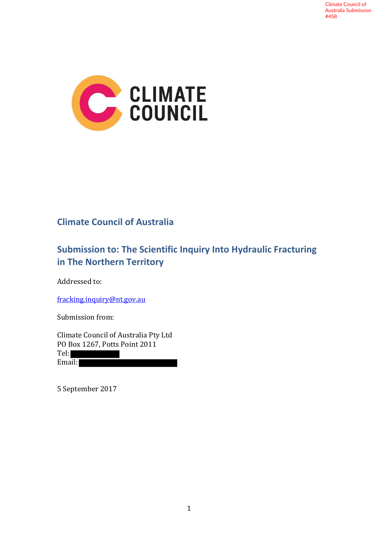

# **Climate Council of Australia**

# **Submission to: The Scientific Inquiry Into Hydraulic Fracturing in The Northern Territory**

Addressed to:

fracking.inquiry@nt.gov.au

Submission from:

Climate Council of Australia Pty Ltd PO Box 1267, Potts Point 2011 Tel: Email:

5 September 2017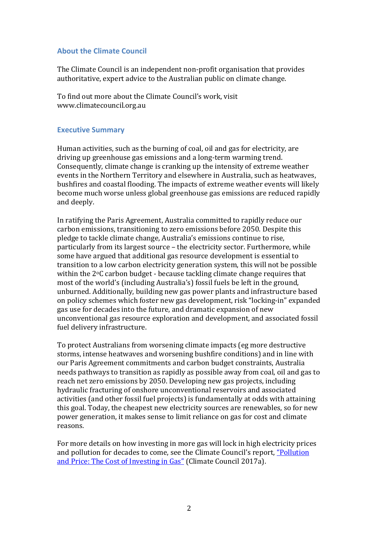### **About the Climate Council**

The Climate Council is an independent non-profit organisation that provides authoritative, expert advice to the Australian public on climate change.

To find out more about the Climate Council's work, visit www.climatecouncil.org.au

### **Executive Summary**

Human activities, such as the burning of coal, oil and gas for electricity, are driving up greenhouse gas emissions and a long-term warming trend. Consequently, climate change is cranking up the intensity of extreme weather events in the Northern Territory and elsewhere in Australia, such as heatwaves, bushfires and coastal flooding. The impacts of extreme weather events will likely become much worse unless global greenhouse gas emissions are reduced rapidly and deeply.

In ratifying the Paris Agreement, Australia committed to rapidly reduce our carbon emissions, transitioning to zero emissions before 2050. Despite this pledge to tackle climate change, Australia's emissions continue to rise, particularly from its largest source – the electricity sector. Furthermore, while some have argued that additional gas resource development is essential to transition to a low carbon electricity generation system, this will not be possible within the 2°C carbon budget - because tackling climate change requires that most of the world's (including Australia's) fossil fuels be left in the ground, unburned. Additionally, building new gas power plants and infrastructure based on policy schemes which foster new gas development, risk "locking-in" expanded gas use for decades into the future, and dramatic expansion of new unconventional gas resource exploration and development, and associated fossil fuel delivery infrastructure.

To protect Australians from worsening climate impacts (eg more destructive storms, intense heatwaves and worsening bushfire conditions) and in line with our Paris Agreement commitments and carbon budget constraints, Australia needs pathways to transition as rapidly as possible away from coal, oil and gas to reach net zero emissions by 2050. Developing new gas projects, including hydraulic fracturing of onshore unconventional reservoirs and associated activities (and other fossil fuel projects) is fundamentally at odds with attaining this goal. Today, the cheapest new electricity sources are renewables, so for new power generation, it makes sense to limit reliance on gas for cost and climate reasons.

For more details on how investing in more gas will lock in high electricity prices and pollution for decades to come, see the Climate Council's report, "Pollution and Price: The Cost of Investing in Gas" (Climate Council 2017a).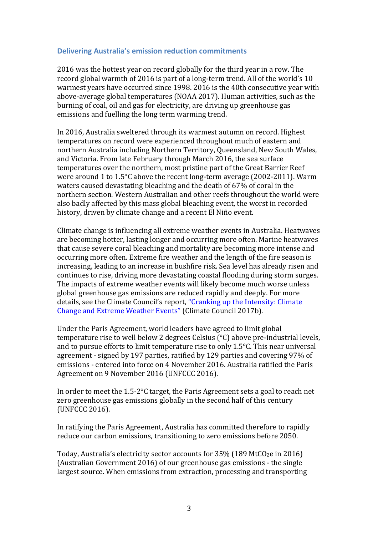### **Delivering Australia's emission reduction commitments**

2016 was the hottest year on record globally for the third year in a row. The record global warmth of 2016 is part of a long-term trend. All of the world's 10 warmest years have occurred since 1998. 2016 is the 40th consecutive year with above-average global temperatures (NOAA 2017). Human activities, such as the burning of coal, oil and gas for electricity, are driving up greenhouse gas emissions and fuelling the long term warming trend.

In 2016, Australia sweltered through its warmest autumn on record. Highest temperatures on record were experienced throughout much of eastern and northern Australia including Northern Territory, Queensland, New South Wales, and Victoria. From late February through March 2016, the sea surface temperatures over the northern, most pristine part of the Great Barrier Reef were around 1 to 1.5°C above the recent long-term average (2002-2011). Warm waters caused devastating bleaching and the death of 67% of coral in the northern section. Western Australian and other reefs throughout the world were also badly affected by this mass global bleaching event, the worst in recorded history, driven by climate change and a recent El Niño event.

Climate change is influencing all extreme weather events in Australia. Heatwaves are becoming hotter, lasting longer and occurring more often. Marine heatwaves that cause severe coral bleaching and mortality are becoming more intense and occurring more often. Extreme fire weather and the length of the fire season is increasing, leading to an increase in bushfire risk. Sea level has already risen and continues to rise, driving more devastating coastal flooding during storm surges. The impacts of extreme weather events will likely become much worse unless global greenhouse gas emissions are reduced rapidly and deeply. For more details, see the Climate Council's report, "Cranking up the Intensity: Climate Change and Extreme Weather Events" (Climate Council 2017b).

Under the Paris Agreement, world leaders have agreed to limit global temperature rise to well below 2 degrees Celsius (°C) above pre-industrial levels, and to pursue efforts to limit temperature rise to only 1.5°C. This near universal agreement - signed by 197 parties, ratified by 129 parties and covering 97% of emissions - entered into force on 4 November 2016. Australia ratified the Paris Agreement on 9 November 2016 (UNFCCC 2016).

In order to meet the 1.5-2°C target, the Paris Agreement sets a goal to reach net zero greenhouse gas emissions globally in the second half of this century (UNFCCC 2016).

In ratifying the Paris Agreement, Australia has committed therefore to rapidly reduce our carbon emissions, transitioning to zero emissions before 2050.

Today, Australia's electricity sector accounts for 35% (189 MtCO<sub>2</sub>e in 2016) (Australian Government 2016) of our greenhouse gas emissions - the single largest source. When emissions from extraction, processing and transporting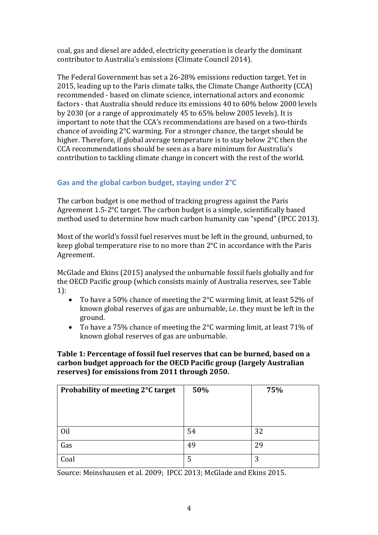coal, gas and diesel are added, electricity generation is clearly the dominant contributor to Australia's emissions (Climate Council 2014).

The Federal Government has set a 26-28% emissions reduction target. Yet in 2015, leading up to the Paris climate talks, the Climate Change Authority (CCA) recommended - based on climate science, international actors and economic factors - that Australia should reduce its emissions 40 to 60% below 2000 levels by 2030 (or a range of approximately 45 to 65% below 2005 levels). It is important to note that the CCA's recommendations are based on a two-thirds chance of avoiding 2°C warming. For a stronger chance, the target should be higher. Therefore, if global average temperature is to stay below 2°C then the CCA recommendations should be seen as a bare minimum for Australia's contribution to tackling climate change in concert with the rest of the world.

# **Gas and the global carbon budget, staying under 2°C**

The carbon budget is one method of tracking progress against the Paris Agreement 1.5-2°C target. The carbon budget is a simple, scientifically based method used to determine how much carbon humanity can "spend" (IPCC 2013).

Most of the world's fossil fuel reserves must be left in the ground, unburned, to keep global temperature rise to no more than 2°C in accordance with the Paris Agreement.

McGlade and Ekins (2015) analysed the unburnable fossil fuels globally and for the OECD Pacific group (which consists mainly of Australia reserves, see Table 1):

- To have a 50% chance of meeting the 2°C warming limit, at least 52% of known global reserves of gas are unburnable, i.e. they must be left in the ground.
- To have a 75% chance of meeting the 2°C warming limit, at least 71% of known global reserves of gas are unburnable.

## **Table 1: Percentage of fossil fuel reserves that can be burned, based on a carbon budget approach for the OECD Pacific group (largely Australian reserves) for emissions from 2011 through 2050.**

| Probability of meeting 2°C target | 50% | 75% |
|-----------------------------------|-----|-----|
|                                   |     |     |
|                                   |     |     |
| Oil                               | 54  | 32  |
| Gas                               | 49  | 29  |
| Coal                              | 5   | 3   |

Source: Meinshausen et al. 2009; IPCC 2013; McGlade and Ekins 2015.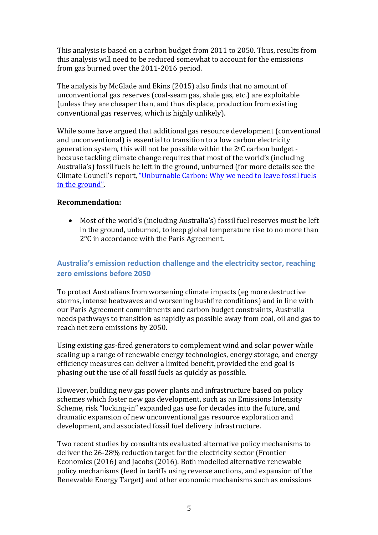This analysis is based on a carbon budget from 2011 to 2050. Thus, results from this analysis will need to be reduced somewhat to account for the emissions from gas burned over the 2011-2016 period.

The analysis by McGlade and Ekins (2015) also finds that no amount of unconventional gas reserves (coal-seam gas, shale gas, etc.) are exploitable (unless they are cheaper than, and thus displace, production from existing conventional gas reserves, which is highly unlikely).

While some have argued that additional gas resource development (conventional and unconventional) is essential to transition to a low carbon electricity generation system, this will not be possible within the 2oC carbon budget because tackling climate change requires that most of the world's (including Australia's) fossil fuels be left in the ground, unburned (for more details see the Climate Council's report, "Unburnable Carbon: Why we need to leave fossil fuels in the ground".

### **Recommendation:**

• Most of the world's (including Australia's) fossil fuel reserves must be left in the ground, unburned, to keep global temperature rise to no more than 2°C in accordance with the Paris Agreement.

# **Australia's emission reduction challenge and the electricity sector, reaching zero emissions before 2050**

To protect Australians from worsening climate impacts (eg more destructive storms, intense heatwaves and worsening bushfire conditions) and in line with our Paris Agreement commitments and carbon budget constraints, Australia needs pathways to transition as rapidly as possible away from coal, oil and gas to reach net zero emissions by 2050.

Using existing gas-fired generators to complement wind and solar power while scaling up a range of renewable energy technologies, energy storage, and energy efficiency measures can deliver a limited benefit, provided the end goal is phasing out the use of all fossil fuels as quickly as possible.

However, building new gas power plants and infrastructure based on policy schemes which foster new gas development, such as an Emissions Intensity Scheme, risk "locking-in" expanded gas use for decades into the future, and dramatic expansion of new unconventional gas resource exploration and development, and associated fossil fuel delivery infrastructure.

Two recent studies by consultants evaluated alternative policy mechanisms to deliver the 26-28% reduction target for the electricity sector (Frontier Economics (2016) and Jacobs (2016). Both modelled alternative renewable policy mechanisms (feed in tariffs using reverse auctions, and expansion of the Renewable Energy Target) and other economic mechanisms such as emissions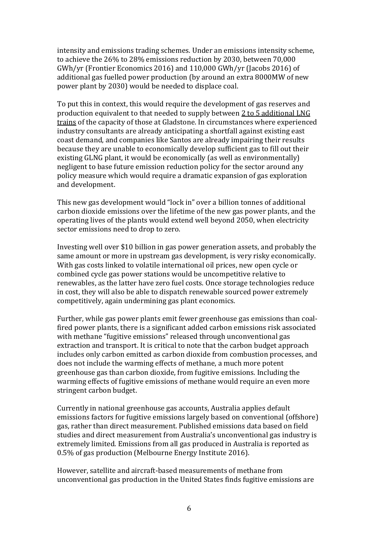intensity and emissions trading schemes. Under an emissions intensity scheme, to achieve the 26% to 28% emissions reduction by 2030, between 70,000 GWh/yr (Frontier Economics 2016) and 110,000 GWh/yr (Jacobs 2016) of additional gas fuelled power production (by around an extra 8000MW of new power plant by 2030) would be needed to displace coal.

To put this in context, this would require the development of gas reserves and production equivalent to that needed to supply between 2 to 5 additional LNG trains of the capacity of those at Gladstone. In circumstances where experienced industry consultants are already anticipating a shortfall against existing east coast demand, and companies like Santos are already impairing their results because they are unable to economically develop sufficient gas to fill out their existing GLNG plant, it would be economically (as well as environmentally) negligent to base future emission reduction policy for the sector around any policy measure which would require a dramatic expansion of gas exploration and development.

This new gas development would "lock in" over a billion tonnes of additional carbon dioxide emissions over the lifetime of the new gas power plants, and the operating lives of the plants would extend well beyond 2050, when electricity sector emissions need to drop to zero.

Investing well over \$10 billion in gas power generation assets, and probably the same amount or more in upstream gas development, is very risky economically. With gas costs linked to volatile international oil prices, new open cycle or combined cycle gas power stations would be uncompetitive relative to renewables, as the latter have zero fuel costs. Once storage technologies reduce in cost, they will also be able to dispatch renewable sourced power extremely competitively, again undermining gas plant economics.

Further, while gas power plants emit fewer greenhouse gas emissions than coalfired power plants, there is a significant added carbon emissions risk associated with methane "fugitive emissions" released through unconventional gas extraction and transport. It is critical to note that the carbon budget approach includes only carbon emitted as carbon dioxide from combustion processes, and does not include the warming effects of methane, a much more potent greenhouse gas than carbon dioxide, from fugitive emissions. Including the warming effects of fugitive emissions of methane would require an even more stringent carbon budget.

Currently in national greenhouse gas accounts, Australia applies default emissions factors for fugitive emissions largely based on conventional (offshore) gas, rather than direct measurement. Published emissions data based on field studies and direct measurement from Australia's unconventional gas industry is extremely limited. Emissions from all gas produced in Australia is reported as 0.5% of gas production (Melbourne Energy Institute 2016).

However, satellite and aircraft-based measurements of methane from unconventional gas production in the United States finds fugitive emissions are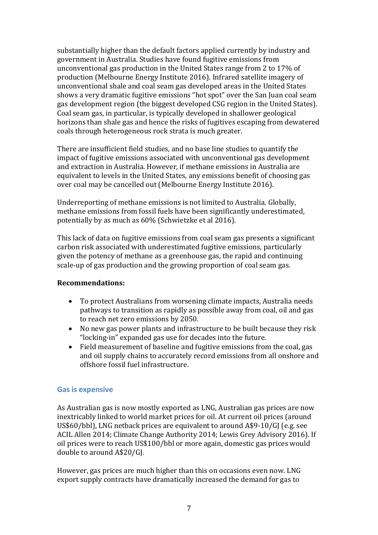substantially higher than the default factors applied currently by industry and government in Australia. Studies have found fugitive emissions from unconventional gas production in the United States range from 2 to 17% of production (Melbourne Energy Institute 2016). Infrared satellite imagery of unconventional shale and coal seam gas developed areas in the United States shows a very dramatic fugitive emissions "hot spot" over the San Juan coal seam gas development region (the biggest developed CSG region in the United States). Coal seam gas, in particular, is typically developed in shallower geological horizons than shale gas and hence the risks of fugitives escaping from dewatered coals through heterogeneous rock strata is much greater.

There are insufficient field studies, and no base line studies to quantify the impact of fugitive emissions associated with unconventional gas development and extraction in Australia. However, if methane emissions in Australia are equivalent to levels in the United States, any emissions benefit of choosing gas over coal may be cancelled out (Melbourne Energy Institute 2016).

Underreporting of methane emissions is not limited to Australia. Globally, methane emissions from fossil fuels have been significantly underestimated, potentially by as much as 60% (Schwietzke et al 2016).

This lack of data on fugitive emissions from coal seam gas presents a significant carbon risk associated with underestimated fugitive emissions, particularly given the potency of methane as a greenhouse gas, the rapid and continuing scale-up of gas production and the growing proportion of coal seam gas.

### **Recommendations:**

- To protect Australians from worsening climate impacts, Australia needs pathways to transition as rapidly as possible away from coal, oil and gas to reach net zero emissions by 2050.
- No new gas power plants and infrastructure to be built because they risk "locking-in" expanded gas use for decades into the future.
- Field measurement of baseline and fugitive emissions from the coal, gas and oil supply chains to accurately record emissions from all onshore and offshore fossil fuel infrastructure.

### **Gas is expensive**

As Australian gas is now mostly exported as LNG, Australian gas prices are now inextricably linked to world market prices for oil. At current oil prices (around US\$60/bbl), LNG netback prices are equivalent to around A\$9-10/GJ (e.g. see ACIL Allen 2014; Climate Change Authority 2014; Lewis Grey Advisory 2016). If oil prices were to reach US\$100/bbl or more again, domestic gas prices would double to around A\$20/GJ.

However, gas prices are much higher than this on occasions even now. LNG export supply contracts have dramatically increased the demand for gas to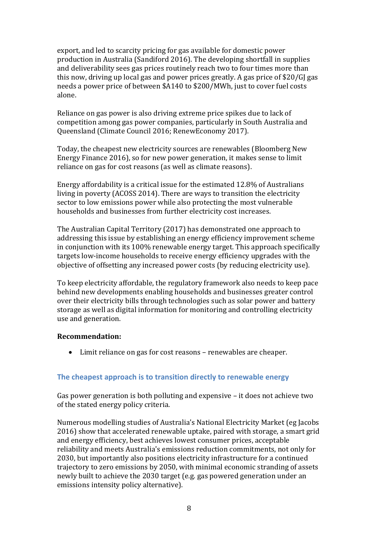export, and led to scarcity pricing for gas available for domestic power production in Australia (Sandiford 2016). The developing shortfall in supplies and deliverability sees gas prices routinely reach two to four times more than this now, driving up local gas and power prices greatly. A gas price of \$20/GJ gas needs a power price of between \$A140 to \$200/MWh, just to cover fuel costs alone.

Reliance on gas power is also driving extreme price spikes due to lack of competition among gas power companies, particularly in South Australia and Queensland (Climate Council 2016; RenewEconomy 2017).

Today, the cheapest new electricity sources are renewables (Bloomberg New Energy Finance 2016), so for new power generation, it makes sense to limit reliance on gas for cost reasons (as well as climate reasons).

Energy affordability is a critical issue for the estimated 12.8% of Australians living in poverty (ACOSS 2014). There are ways to transition the electricity sector to low emissions power while also protecting the most vulnerable households and businesses from further electricity cost increases.

The Australian Capital Territory (2017) has demonstrated one approach to addressing this issue by establishing an energy efficiency improvement scheme in conjunction with its 100% renewable energy target. This approach specifically targets low-income households to receive energy efficiency upgrades with the objective of offsetting any increased power costs (by reducing electricity use).

To keep electricity affordable, the regulatory framework also needs to keep pace behind new developments enabling households and businesses greater control over their electricity bills through technologies such as solar power and battery storage as well as digital information for monitoring and controlling electricity use and generation.

### **Recommendation:**

• Limit reliance on gas for cost reasons – renewables are cheaper.

### **The cheapest approach is to transition directly to renewable energy**

Gas power generation is both polluting and expensive – it does not achieve two of the stated energy policy criteria.

Numerous modelling studies of Australia's National Electricity Market (eg Jacobs 2016) show that accelerated renewable uptake, paired with storage, a smart grid and energy efficiency, best achieves lowest consumer prices, acceptable reliability and meets Australia's emissions reduction commitments, not only for 2030, but importantly also positions electricity infrastructure for a continued trajectory to zero emissions by 2050, with minimal economic stranding of assets newly built to achieve the 2030 target (e.g. gas powered generation under an emissions intensity policy alternative).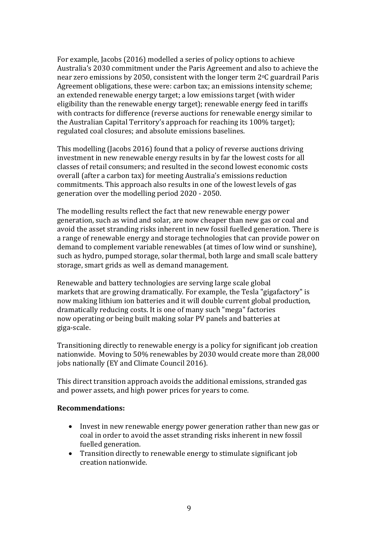For example, Jacobs (2016) modelled a series of policy options to achieve Australia's 2030 commitment under the Paris Agreement and also to achieve the near zero emissions by 2050, consistent with the longer term 2°C guardrail Paris Agreement obligations, these were: carbon tax; an emissions intensity scheme; an extended renewable energy target; a low emissions target (with wider eligibility than the renewable energy target); renewable energy feed in tariffs with contracts for difference (reverse auctions for renewable energy similar to the Australian Capital Territory's approach for reaching its 100% target); regulated coal closures; and absolute emissions baselines.

This modelling (Jacobs 2016) found that a policy of reverse auctions driving investment in new renewable energy results in by far the lowest costs for all classes of retail consumers; and resulted in the second lowest economic costs overall (after a carbon tax) for meeting Australia's emissions reduction commitments. This approach also results in one of the lowest levels of gas generation over the modelling period 2020 - 2050.

The modelling results reflect the fact that new renewable energy power generation, such as wind and solar, are now cheaper than new gas or coal and avoid the asset stranding risks inherent in new fossil fuelled generation. There is a range of renewable energy and storage technologies that can provide power on demand to complement variable renewables (at times of low wind or sunshine), such as hydro, pumped storage, solar thermal, both large and small scale battery storage, smart grids as well as demand management.

Renewable and battery technologies are serving large scale global markets that are growing dramatically. For example, the Tesla "gigafactory" is now making lithium ion batteries and it will double current global production, dramatically reducing costs. It is one of many such "mega" factories now operating or being built making solar PV panels and batteries at giga-scale.

Transitioning directly to renewable energy is a policy for significant job creation nationwide. Moving to 50% renewables by 2030 would create more than 28,000 jobs nationally (EY and Climate Council 2016).

This direct transition approach avoids the additional emissions, stranded gas and power assets, and high power prices for years to come.

### **Recommendations:**

- Invest in new renewable energy power generation rather than new gas or coal in order to avoid the asset stranding risks inherent in new fossil fuelled generation.
- Transition directly to renewable energy to stimulate significant job creation nationwide.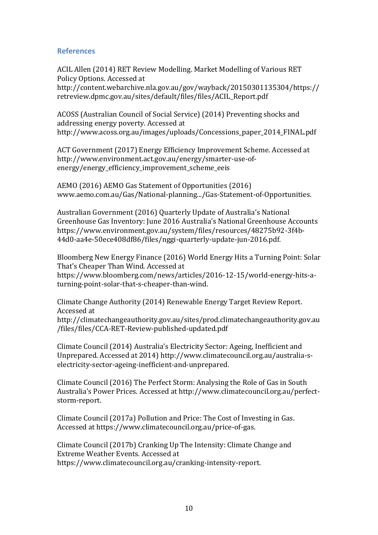### **References**

ACIL Allen (2014) RET Review Modelling. Market Modelling of Various RET Policy Options. Accessed at http://content.webarchive.nla.gov.au/gov/wayback/20150301135304/https:// retreview.dpmc.gov.au/sites/default/files/files/ACIL\_Report.pdf

ACOSS (Australian Council of Social Service) (2014) Preventing shocks and addressing energy poverty. Accessed at http://www.acoss.org.au/images/uploads/Concessions\_paper\_2014\_FINAL.pdf

ACT Government (2017) Energy Efficiency Improvement Scheme. Accessed at http://www.environment.act.gov.au/energy/smarter-use-ofenergy/energy\_efficiency\_improvement\_scheme\_eeis

AEMO (2016) AEMO Gas Statement of Opportunities (2016) www.aemo.com.au/Gas/National-planning.../Gas-Statement-of-Opportunities.

Australian Government (2016) Quarterly Update of Australia's National Greenhouse Gas Inventory: June 2016 Australia's National Greenhouse Accounts https://www.environment.gov.au/system/files/resources/48275b92-3f4b-44d0-aa4e-50ece408df86/files/nggi-quarterly-update-jun-2016.pdf.

Bloomberg New Energy Finance (2016) World Energy Hits a Turning Point: Solar That's Cheaper Than Wind. Accessed at

https://www.bloomberg.com/news/articles/2016-12-15/world-energy-hits-aturning-point-solar-that-s-cheaper-than-wind.

Climate Change Authority (2014) Renewable Energy Target Review Report. Accessed at

http://climatechangeauthority.gov.au/sites/prod.climatechangeauthority.gov.au /files/files/CCA-RET-Review-published-updated.pdf

Climate Council (2014) Australia's Electricity Sector: Ageing, Inefficient and Unprepared. Accessed at 2014) http://www.climatecouncil.org.au/australia-selectricity-sector-ageing-inefficient-and-unprepared.

Climate Council (2016) The Perfect Storm: Analysing the Role of Gas in South Australia's Power Prices. Accessed at http://www.climatecouncil.org.au/perfectstorm-report.

Climate Council (2017a) Pollution and Price: The Cost of Investing in Gas. Accessed at https://www.climatecouncil.org.au/price-of-gas.

Climate Council (2017b) Cranking Up The Intensity: Climate Change and Extreme Weather Events. Accessed at https://www.climatecouncil.org.au/cranking-intensity-report.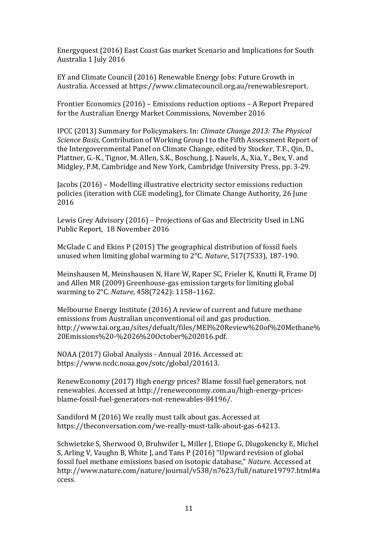Energyquest (2016) East Coast Gas market Scenario and Implications for South Australia 1 July 2016

EY and Climate Council (2016) Renewable Energy Jobs: Future Growth in Australia. Accessed at https://www.climatecouncil.org.au/renewablesreport.

Frontier Economics (2016) – Emissions reduction options – A Report Prepared for the Australian Energy Market Commissions, November 2016

IPCC (2013) Summary for Policymakers. In: *Climate Change 2013: The Physical Science Basis*, Contribution of Working Group I to the Fifth Assessment Report of the Intergovernmental Panel on Climate Change, edited by Stocker, T.F., Qin, D., Plattner, G.-K., Tignor, M. Allen, S.K., Boschung, J. Nauels, A., Xia, Y., Bex, V. and Midgley, P.M, Cambridge and New York, Cambridge University Press, pp. 3-29.

Jacobs (2016) – Modelling illustrative electricity sector emissions reduction policies (iteration with CGE modeling), for Climate Change Authority, 26 June 2016

Lewis Grey Advisory (2016) – Projections of Gas and Electricity Used in LNG Public Report, 18 November 2016

McGlade C and Ekins P (2015) The geographical distribution of fossil fuels unused when limiting global warming to 2°C. *Nature*, 517(7533), 187-190.

Meinshausen M, Meinshausen N, Hare W, Raper SC, Frieler K, Knutti R, Frame DJ and Allen MR (2009) Greenhouse-gas emission targets for limiting global warming to 2°C. *Nature*, 458(7242): 1158–1162.

Melbourne Energy Institute (2016) A review of current and future methane emissions from Australian unconventional oil and gas production. http://www.tai.org.au/sites/defualt/files/MEI%20Review%20of%20Methane% 20Emissions%20-%2026%20October%202016.pdf.

NOAA (2017) Global Analysis - Annual 2016. Accessed at: https://www.ncdc.noaa.gov/sotc/global/201613.

RenewEconomy (2017) High energy prices? Blame fossil fuel generators, not renewables. Accessed at http://reneweconomy.com.au/high-energy-pricesblame-fossil-fuel-generators-not-renewables-84196/.

Sandiford M (2016) We really must talk about gas. Accessed at https://theconversation.com/we-really-must-talk-about-gas-64213.

Schwietzke S, Sherwood O, Bruhwiler L, Miller J, Etiope G, Dlugokencky E, Michel S, Arling V, Vaughn B, White J, and Tans P (2016) "Upward revision of global fossil fuel methane emissions based on isotopic database," *Nature*. Accessed at http://www.nature.com/nature/journal/v538/n7623/full/nature19797.html#a ccess.